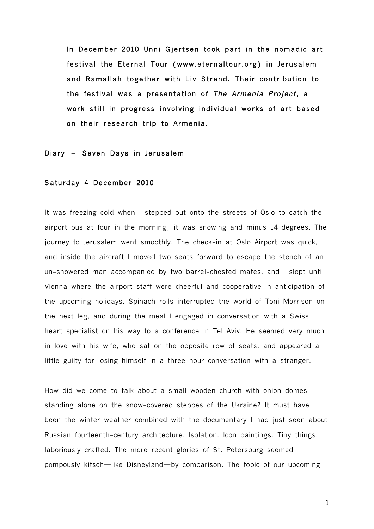In December 2010 Unni Gjertsen took part in the nomadic art festival the Eternal Tour (www.eternaltour.org) in Jerusalem and Ramallah together with Liv Strand. Their contribution to the festival was a presentation of The Armenia Project, a work still in progress involving individual works of art based on their research trip to Armenia.

#### Diary - Seven Days in Jerusalem

#### Saturday 4 December 2010

It was freezing cold when I stepped out onto the streets of Oslo to catch the airport bus at four in the morning; it was snowing and minus 14 degrees. The journey to Jerusalem went smoothly. The check-in at Oslo Airport was quick, and inside the aircraft I moved two seats forward to escape the stench of an un-showered man accompanied by two barrel-chested mates, and I slept until Vienna where the airport staff were cheerful and cooperative in anticipation of the upcoming holidays. Spinach rolls interrupted the world of Toni Morrison on the next leg, and during the meal I engaged in conversation with a Swiss heart specialist on his way to a conference in Tel Aviv. He seemed very much in love with his wife, who sat on the opposite row of seats, and appeared a little guilty for losing himself in a three-hour conversation with a stranger.

How did we come to talk about a small wooden church with onion domes standing alone on the snow-covered steppes of the Ukraine? It must have been the winter weather combined with the documentary I had just seen about Russian fourteenth-century architecture. Isolation. Icon paintings. Tiny things, laboriously crafted. The more recent glories of St. Petersburg seemed pompously kitsch—like Disneyland—by comparison. The topic of our upcoming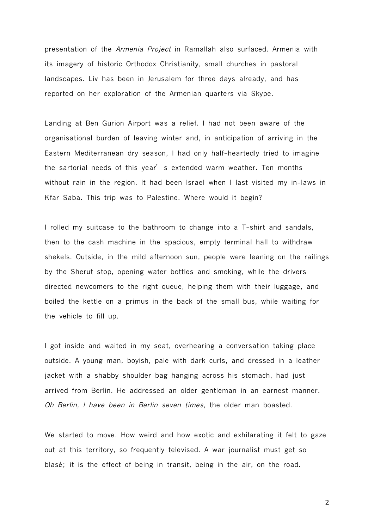presentation of the Armenia Project in Ramallah also surfaced. Armenia with its imagery of historic Orthodox Christianity, small churches in pastoral landscapes. Liv has been in Jerusalem for three days already, and has reported on her exploration of the Armenian quarters via Skype.

Landing at Ben Gurion Airport was a relief. I had not been aware of the organisational burden of leaving winter and, in anticipation of arriving in the Eastern Mediterranean dry season, I had only half-heartedly tried to imagine the sartorial needs of this year's extended warm weather. Ten months without rain in the region. It had been Israel when I last visited my in-laws in Kfar Saba. This trip was to Palestine. Where would it begin?

I rolled my suitcase to the bathroom to change into a T-shirt and sandals, then to the cash machine in the spacious, empty terminal hall to withdraw shekels. Outside, in the mild afternoon sun, people were leaning on the railings by the Sherut stop, opening water bottles and smoking, while the drivers directed newcomers to the right queue, helping them with their luggage, and boiled the kettle on a primus in the back of the small bus, while waiting for the vehicle to fill up.

I got inside and waited in my seat, overhearing a conversation taking place outside. A young man, boyish, pale with dark curls, and dressed in a leather jacket with a shabby shoulder bag hanging across his stomach, had just arrived from Berlin. He addressed an older gentleman in an earnest manner. Oh Berlin, I have been in Berlin seven times, the older man boasted.

We started to move. How weird and how exotic and exhilarating it felt to gaze out at this territory, so frequently televised. A war journalist must get so blasé; it is the effect of being in transit, being in the air, on the road.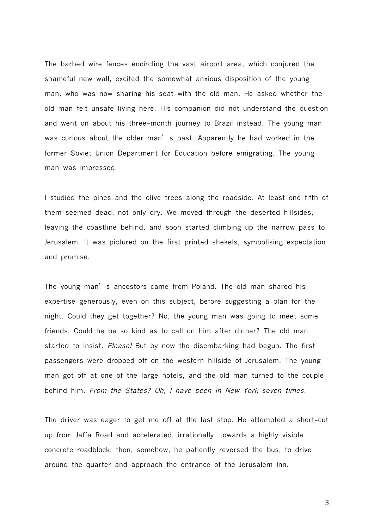The barbed wire fences encircling the vast airport area, which conjured the shameful new wall, excited the somewhat anxious disposition of the young man, who was now sharing his seat with the old man. He asked whether the old man felt unsafe living here. His companion did not understand the question and went on about his three-month journey to Brazil instead. The young man was curious about the older man's past. Apparently he had worked in the former Soviet Union Department for Education before emigrating. The young man was impressed.

I studied the pines and the olive trees along the roadside. At least one fifth of them seemed dead, not only dry. We moved through the deserted hillsides, leaving the coastline behind, and soon started climbing up the narrow pass to Jerusalem. It was pictured on the first printed shekels, symbolising expectation and promise.

The young man's ancestors came from Poland. The old man shared his expertise generously, even on this subject, before suggesting a plan for the night. Could they get together? No, the young man was going to meet some friends. Could he be so kind as to call on him after dinner? The old man started to insist. *Please!* But by now the disembarking had begun. The first passengers were dropped off on the western hillside of Jerusalem. The young man got off at one of the large hotels, and the old man turned to the couple behind him. From the States? Oh, <sup>I</sup> have been in New York seven times.

The driver was eager to get me off at the last stop. He attempted a short-cut up from Jaffa Road and accelerated, irrationally, towards a highly visible concrete roadblock, then, somehow, he patiently reversed the bus, to drive around the quarter and approach the entrance of the Jerusalem Inn.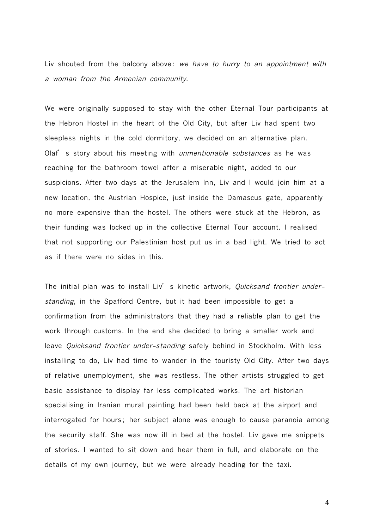Liv shouted from the balcony above: we have to hurry to an appointment with <sup>a</sup> woman from the Armenian community.

We were originally supposed to stay with the other Eternal Tour participants at the Hebron Hostel in the heart of the Old City, but after Liv had spent two sleepless nights in the cold dormitory, we decided on an alternative plan. Olaf's story about his meeting with *unmentionable substances* as he was reaching for the bathroom towel after a miserable night, added to our suspicions. After two days at the Jerusalem Inn, Liv and I would join him at a new location, the Austrian Hospice, just inside the Damascus gate, apparently no more expensive than the hostel. The others were stuck at the Hebron, as their funding was locked up in the collective Eternal Tour account. I realised that not supporting our Palestinian host put us in a bad light. We tried to act as if there were no sides in this.

The initial plan was to install Liv's kinetic artwork, Quicksand frontier understanding, in the Spafford Centre, but it had been impossible to get a confirmation from the administrators that they had a reliable plan to get the work through customs. In the end she decided to bring a smaller work and leave Quicksand frontier under-standing safely behind in Stockholm. With less installing to do, Liv had time to wander in the touristy Old City. After two days of relative unemployment, she was restless. The other artists struggled to get basic assistance to display far less complicated works. The art historian specialising in Iranian mural painting had been held back at the airport and interrogated for hours; her subject alone was enough to cause paranoia among the security staff. She was now ill in bed at the hostel. Liv gave me snippets of stories. I wanted to sit down and hear them in full, and elaborate on the details of my own journey, but we were already heading for the taxi.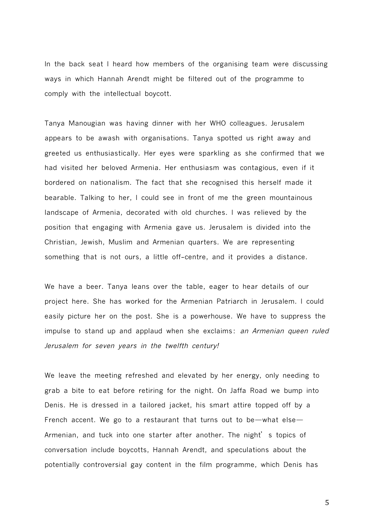In the back seat I heard how members of the organising team were discussing ways in which Hannah Arendt might be filtered out of the programme to comply with the intellectual boycott.

Tanya Manougian was having dinner with her WHO colleagues. Jerusalem appears to be awash with organisations. Tanya spotted us right away and greeted us enthusiastically. Her eyes were sparkling as she confirmed that we had visited her beloved Armenia. Her enthusiasm was contagious, even if it bordered on nationalism. The fact that she recognised this herself made it bearable. Talking to her, I could see in front of me the green mountainous landscape of Armenia, decorated with old churches. I was relieved by the position that engaging with Armenia gave us. Jerusalem is divided into the Christian, Jewish, Muslim and Armenian quarters. We are representing something that is not ours, a little off-centre, and it provides a distance.

We have a beer. Tanya leans over the table, eager to hear details of our project here. She has worked for the Armenian Patriarch in Jerusalem. I could easily picture her on the post. She is a powerhouse. We have to suppress the impulse to stand up and applaud when she exclaims: an Armenian queen ruled Jerusalem for seven years in the twelfth century!

We leave the meeting refreshed and elevated by her energy, only needing to grab a bite to eat before retiring for the night. On Jaffa Road we bump into Denis. He is dressed in a tailored jacket, his smart attire topped off by a French accent. We go to a restaurant that turns out to be—what else— Armenian, and tuck into one starter after another. The night's topics of conversation include boycotts, Hannah Arendt, and speculations about the potentially controversial gay content in the film programme, which Denis has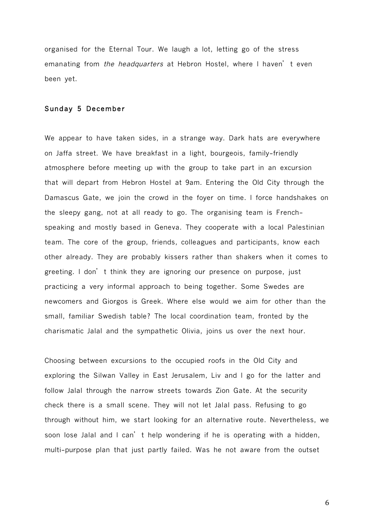organised for the Eternal Tour. We laugh a lot, letting go of the stress emanating from the headquarters at Hebron Hostel, where I haven't even been yet.

#### Sunday 5 December

We appear to have taken sides, in a strange way. Dark hats are everywhere on Jaffa street. We have breakfast in a light, bourgeois, family-friendly atmosphere before meeting up with the group to take part in an excursion that will depart from Hebron Hostel at 9am. Entering the Old City through the Damascus Gate, we join the crowd in the foyer on time. I force handshakes on the sleepy gang, not at all ready to go. The organising team is Frenchspeaking and mostly based in Geneva. They cooperate with a local Palestinian team. The core of the group, friends, colleagues and participants, know each other already. They are probably kissers rather than shakers when it comes to greeting. I don't think they are ignoring our presence on purpose, just practicing a very informal approach to being together. Some Swedes are newcomers and Giorgos is Greek. Where else would we aim for other than the small, familiar Swedish table? The local coordination team, fronted by the charismatic Jalal and the sympathetic Olivia, joins us over the next hour.

Choosing between excursions to the occupied roofs in the Old City and exploring the Silwan Valley in East Jerusalem, Liv and I go for the latter and follow Jalal through the narrow streets towards Zion Gate. At the security check there is a small scene. They will not let Jalal pass. Refusing to go through without him, we start looking for an alternative route. Nevertheless, we soon lose Jalal and I can't help wondering if he is operating with a hidden, multi-purpose plan that just partly failed. Was he not aware from the outset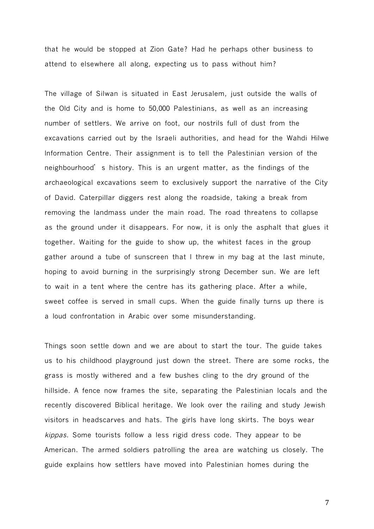that he would be stopped at Zion Gate? Had he perhaps other business to attend to elsewhere all along, expecting us to pass without him?

The village of Silwan is situated in East Jerusalem, just outside the walls of the Old City and is home to 50,000 Palestinians, as well as an increasing number of settlers. We arrive on foot, our nostrils full of dust from the excavations carried out by the Israeli authorities, and head for the Wahdi Hilwe Information Centre. Their assignment is to tell the Palestinian version of the neighbourhood's history. This is an urgent matter, as the findings of the archaeological excavations seem to exclusively support the narrative of the City of David. Caterpillar diggers rest along the roadside, taking a break from removing the landmass under the main road. The road threatens to collapse as the ground under it disappears. For now, it is only the asphalt that glues it together. Waiting for the guide to show up, the whitest faces in the group gather around a tube of sunscreen that I threw in my bag at the last minute, hoping to avoid burning in the surprisingly strong December sun. We are left to wait in a tent where the centre has its gathering place. After a while, sweet coffee is served in small cups. When the guide finally turns up there is a loud confrontation in Arabic over some misunderstanding.

Things soon settle down and we are about to start the tour. The guide takes us to his childhood playground just down the street. There are some rocks, the grass is mostly withered and a few bushes cling to the dry ground of the hillside. A fence now frames the site, separating the Palestinian locals and the recently discovered Biblical heritage. We look over the railing and study Jewish visitors in headscarves and hats. The girls have long skirts. The boys wear kippas. Some tourists follow a less rigid dress code. They appear to be American. The armed soldiers patrolling the area are watching us closely. The guide explains how settlers have moved into Palestinian homes during the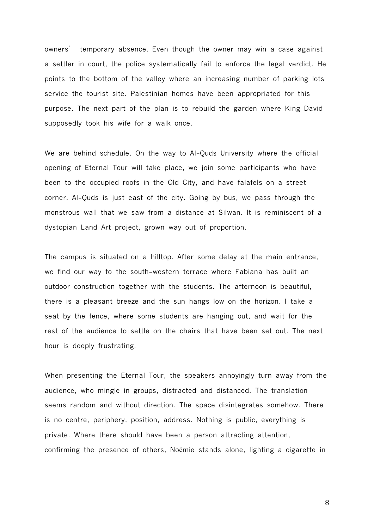owners' temporary absence. Even though the owner may win a case against a settler in court, the police systematically fail to enforce the legal verdict. He points to the bottom of the valley where an increasing number of parking lots service the tourist site. Palestinian homes have been appropriated for this purpose. The next part of the plan is to rebuild the garden where King David supposedly took his wife for a walk once.

We are behind schedule. On the way to Al-Quds University where the official opening of Eternal Tour will take place, we join some participants who have been to the occupied roofs in the Old City, and have falafels on a street corner. Al-Quds is just east of the city. Going by bus, we pass through the monstrous wall that we saw from a distance at Silwan. It is reminiscent of a dystopian Land Art project, grown way out of proportion.

The campus is situated on a hilltop. After some delay at the main entrance, we find our way to the south-western terrace where Fabiana has built an outdoor construction together with the students. The afternoon is beautiful, there is a pleasant breeze and the sun hangs low on the horizon. I take a seat by the fence, where some students are hanging out, and wait for the rest of the audience to settle on the chairs that have been set out. The next hour is deeply frustrating.

When presenting the Eternal Tour, the speakers annoyingly turn away from the audience, who mingle in groups, distracted and distanced. The translation seems random and without direction. The space disintegrates somehow. There is no centre, periphery, position, address. Nothing is public, everything is private. Where there should have been a person attracting attention, confirming the presence of others, Noémie stands alone, lighting a cigarette in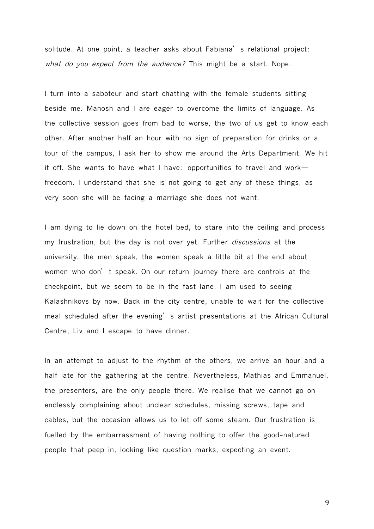solitude. At one point, a teacher asks about Fabiana's relational project: what do you expect from the audience? This might be a start. Nope.

I turn into a saboteur and start chatting with the female students sitting beside me. Manosh and I are eager to overcome the limits of language. As the collective session goes from bad to worse, the two of us get to know each other. After another half an hour with no sign of preparation for drinks or a tour of the campus, I ask her to show me around the Arts Department. We hit it off. She wants to have what I have: opportunities to travel and work freedom. I understand that she is not going to get any of these things, as very soon she will be facing a marriage she does not want.

I am dying to lie down on the hotel bed, to stare into the ceiling and process my frustration, but the day is not over yet. Further discussions at the university, the men speak, the women speak a little bit at the end about women who don't speak. On our return journey there are controls at the checkpoint, but we seem to be in the fast lane. I am used to seeing Kalashnikovs by now. Back in the city centre, unable to wait for the collective meal scheduled after the evening's artist presentations at the African Cultural Centre, Liv and I escape to have dinner.

In an attempt to adjust to the rhythm of the others, we arrive an hour and a half late for the gathering at the centre. Nevertheless, Mathias and Emmanuel, the presenters, are the only people there. We realise that we cannot go on endlessly complaining about unclear schedules, missing screws, tape and cables, but the occasion allows us to let off some steam. Our frustration is fuelled by the embarrassment of having nothing to offer the good-natured people that peep in, looking like question marks, expecting an event.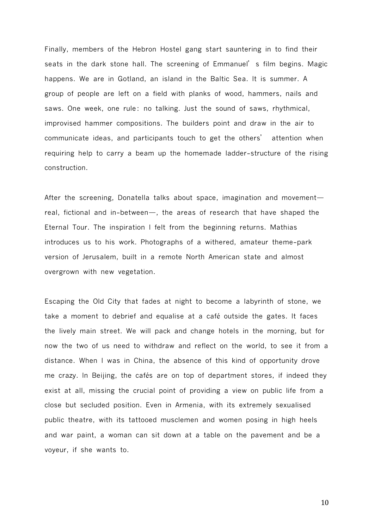Finally, members of the Hebron Hostel gang start sauntering in to find their seats in the dark stone hall. The screening of Emmanuel's film begins. Magic happens. We are in Gotland, an island in the Baltic Sea. It is summer. A group of people are left on a field with planks of wood, hammers, nails and saws. One week, one rule: no talking. Just the sound of saws, rhythmical, improvised hammer compositions. The builders point and draw in the air to communicate ideas, and participants touch to get the others' attention when requiring help to carry a beam up the homemade ladder-structure of the rising construction.

After the screening, Donatella talks about space, imagination and movement real, fictional and in-between—, the areas of research that have shaped the Eternal Tour. The inspiration I felt from the beginning returns. Mathias introduces us to his work. Photographs of a withered, amateur theme-park version of Jerusalem, built in a remote North American state and almost overgrown with new vegetation.

Escaping the Old City that fades at night to become a labyrinth of stone, we take a moment to debrief and equalise at a café outside the gates. It faces the lively main street. We will pack and change hotels in the morning, but for now the two of us need to withdraw and reflect on the world, to see it from a distance. When I was in China, the absence of this kind of opportunity drove me crazy. In Beijing, the cafés are on top of department stores, if indeed they exist at all, missing the crucial point of providing a view on public life from a close but secluded position. Even in Armenia, with its extremely sexualised public theatre, with its tattooed musclemen and women posing in high heels and war paint, a woman can sit down at a table on the pavement and be a voyeur, if she wants to.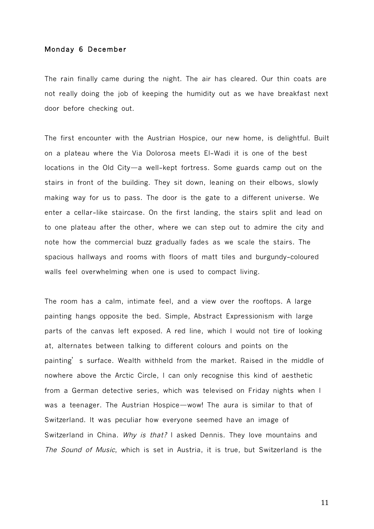## Monday 6 December

The rain finally came during the night. The air has cleared. Our thin coats are not really doing the job of keeping the humidity out as we have breakfast next door before checking out.

The first encounter with the Austrian Hospice, our new home, is delightful. Built on a plateau where the Via Dolorosa meets El-Wadi it is one of the best locations in the Old City—a well-kept fortress. Some guards camp out on the stairs in front of the building. They sit down, leaning on their elbows, slowly making way for us to pass. The door is the gate to a different universe. We enter a cellar-like staircase. On the first landing, the stairs split and lead on to one plateau after the other, where we can step out to admire the city and note how the commercial buzz gradually fades as we scale the stairs. The spacious hallways and rooms with floors of matt tiles and burgundy-coloured walls feel overwhelming when one is used to compact living.

The room has a calm, intimate feel, and a view over the rooftops. A large painting hangs opposite the bed. Simple, Abstract Expressionism with large parts of the canvas left exposed. A red line, which I would not tire of looking at, alternates between talking to different colours and points on the painting's surface. Wealth withheld from the market. Raised in the middle of nowhere above the Arctic Circle, I can only recognise this kind of aesthetic from a German detective series, which was televised on Friday nights when I was a teenager. The Austrian Hospice—wow! The aura is similar to that of Switzerland. It was peculiar how everyone seemed have an image of Switzerland in China. Why is that? I asked Dennis. They love mountains and The Sound of Music, which is set in Austria, it is true, but Switzerland is the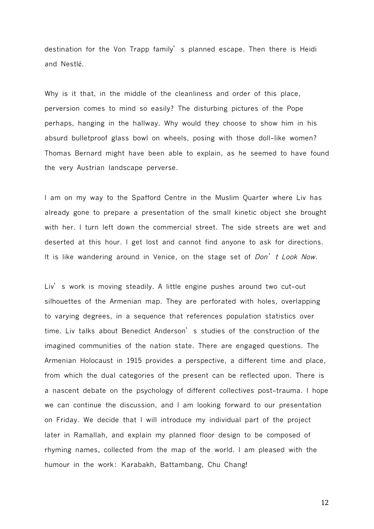destination for the Von Trapp family's planned escape. Then there is Heidi and Nestlé.

Why is it that, in the middle of the cleanliness and order of this place, perversion comes to mind so easily? The disturbing pictures of the Pope perhaps, hanging in the hallway. Why would they choose to show him in his absurd bulletproof glass bowl on wheels, posing with those doll-like women? Thomas Bernard might have been able to explain, as he seemed to have found the very Austrian landscape perverse.

I am on my way to the Spafford Centre in the Muslim Quarter where Liv has already gone to prepare a presentation of the small kinetic object she brought with her. I turn left down the commercial street. The side streets are wet and deserted at this hour. I get lost and cannot find anyone to ask for directions. It is like wandering around in Venice, on the stage set of *Don't Look Now*.

Liv's work is moving steadily. A little engine pushes around two cut-out silhouettes of the Armenian map. They are perforated with holes, overlapping to varying degrees, in a sequence that references population statistics over time. Liv talks about Benedict Anderson's studies of the construction of the imagined communities of the nation state. There are engaged questions. The Armenian Holocaust in 1915 provides a perspective, a different time and place, from which the dual categories of the present can be reflected upon. There is a nascent debate on the psychology of different collectives post-trauma. I hope we can continue the discussion, and I am looking forward to our presentation on Friday. We decide that I will introduce my individual part of the project later in Ramallah, and explain my planned floor design to be composed of rhyming names, collected from the map of the world. I am pleased with the humour in the work: Karabakh, Battambang, Chu Chang!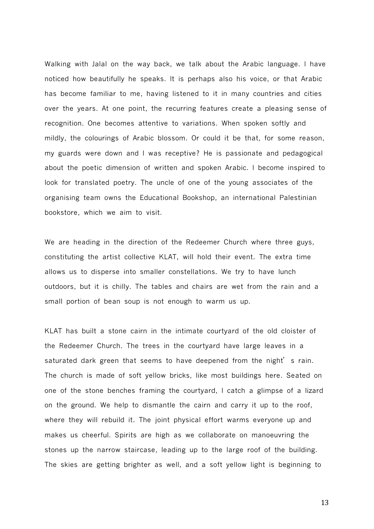Walking with Jalal on the way back, we talk about the Arabic language. I have noticed how beautifully he speaks. It is perhaps also his voice, or that Arabic has become familiar to me, having listened to it in many countries and cities over the years. At one point, the recurring features create a pleasing sense of recognition. One becomes attentive to variations. When spoken softly and mildly, the colourings of Arabic blossom. Or could it be that, for some reason, my guards were down and I was receptive? He is passionate and pedagogical about the poetic dimension of written and spoken Arabic. I become inspired to look for translated poetry. The uncle of one of the young associates of the organising team owns the Educational Bookshop, an international Palestinian bookstore, which we aim to visit.

We are heading in the direction of the Redeemer Church where three guys, constituting the artist collective KLAT, will hold their event. The extra time allows us to disperse into smaller constellations. We try to have lunch outdoors, but it is chilly. The tables and chairs are wet from the rain and a small portion of bean soup is not enough to warm us up.

KLAT has built a stone cairn in the intimate courtyard of the old cloister of the Redeemer Church. The trees in the courtyard have large leaves in a saturated dark green that seems to have deepened from the night's rain. The church is made of soft yellow bricks, like most buildings here. Seated on one of the stone benches framing the courtyard, I catch a glimpse of a lizard on the ground. We help to dismantle the cairn and carry it up to the roof, where they will rebuild it. The joint physical effort warms everyone up and makes us cheerful. Spirits are high as we collaborate on manoeuvring the stones up the narrow staircase, leading up to the large roof of the building. The skies are getting brighter as well, and a soft yellow light is beginning to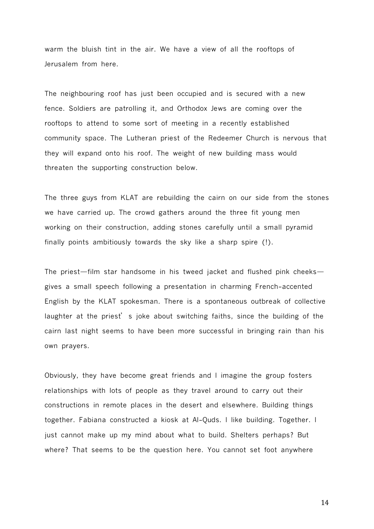warm the bluish tint in the air. We have a view of all the rooftops of Jerusalem from here.

The neighbouring roof has just been occupied and is secured with a new fence. Soldiers are patrolling it, and Orthodox Jews are coming over the rooftops to attend to some sort of meeting in a recently established community space. The Lutheran priest of the Redeemer Church is nervous that they will expand onto his roof. The weight of new building mass would threaten the supporting construction below.

The three guys from KLAT are rebuilding the cairn on our side from the stones we have carried up. The crowd gathers around the three fit young men working on their construction, adding stones carefully until a small pyramid finally points ambitiously towards the sky like a sharp spire (!).

The priest—film star handsome in his tweed jacket and flushed pink cheeks gives a small speech following a presentation in charming French-accented English by the KLAT spokesman. There is a spontaneous outbreak of collective laughter at the priest's joke about switching faiths, since the building of the cairn last night seems to have been more successful in bringing rain than his own prayers.

Obviously, they have become great friends and I imagine the group fosters relationships with lots of people as they travel around to carry out their constructions in remote places in the desert and elsewhere. Building things together. Fabiana constructed a kiosk at Al-Quds. I like building. Together. I just cannot make up my mind about what to build. Shelters perhaps? But where? That seems to be the question here. You cannot set foot anywhere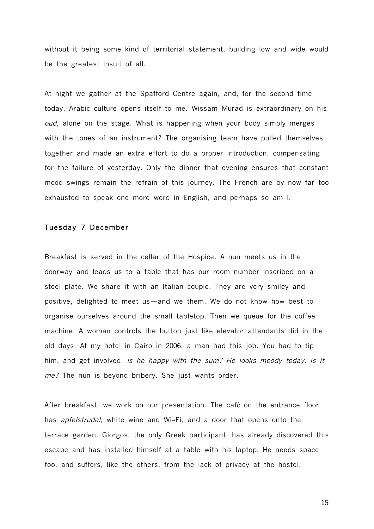without it being some kind of territorial statement, building low and wide would be the greatest insult of all.

At night we gather at the Spafford Centre again, and, for the second time today, Arabic culture opens itself to me. Wissam Murad is extraordinary on his oud, alone on the stage. What is happening when your body simply merges with the tones of an instrument? The organising team have pulled themselves together and made an extra effort to do a proper introduction, compensating for the failure of yesterday. Only the dinner that evening ensures that constant mood swings remain the refrain of this journey. The French are by now far too exhausted to speak one more word in English, and perhaps so am I.

#### Tuesday 7 December

Breakfast is served in the cellar of the Hospice. A nun meets us in the doorway and leads us to a table that has our room number inscribed on a steel plate. We share it with an Italian couple. They are very smiley and positive, delighted to meet us—and we them. We do not know how best to organise ourselves around the small tabletop. Then we queue for the coffee machine. A woman controls the button just like elevator attendants did in the old days. At my hotel in Cairo in 2006, a man had this job. You had to tip him, and get involved. Is he happy with the sum? He looks moody today. Is it me? The nun is bevond bribery. She just wants order.

After breakfast, we work on our presentation. The café on the entrance floor has apfelstrudel, white wine and Wi-Fi, and a door that opens onto the terrace garden. Giorgos, the only Greek participant, has already discovered this escape and has installed himself at a table with his laptop. He needs space too, and suffers, like the others, from the lack of privacy at the hostel.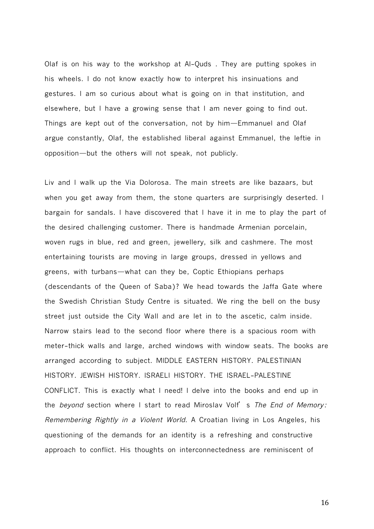Olaf is on his way to the workshop at Al-Quds . They are putting spokes in his wheels. I do not know exactly how to interpret his insinuations and gestures. I am so curious about what is going on in that institution, and elsewhere, but I have a growing sense that I am never going to find out. Things are kept out of the conversation, not by him—Emmanuel and Olaf argue constantly, Olaf, the established liberal against Emmanuel, the leftie in opposition—but the others will not speak, not publicly.

Liv and I walk up the Via Dolorosa. The main streets are like bazaars, but when you get away from them, the stone quarters are surprisingly deserted. I bargain for sandals. I have discovered that I have it in me to play the part of the desired challenging customer. There is handmade Armenian porcelain, woven rugs in blue, red and green, jewellery, silk and cashmere. The most entertaining tourists are moving in large groups, dressed in yellows and greens, with turbans—what can they be, Coptic Ethiopians perhaps (descendants of the Queen of Saba)? We head towards the Jaffa Gate where the Swedish Christian Study Centre is situated. We ring the bell on the busy street just outside the City Wall and are let in to the ascetic, calm inside. Narrow stairs lead to the second floor where there is a spacious room with meter-thick walls and large, arched windows with window seats. The books are arranged according to subject. MIDDLE EASTERN HISTORY. PALESTINIAN HISTORY. JEWISH HISTORY. ISRAELI HISTORY. THE ISRAEL-PALESTINE CONFLICT. This is exactly what I need! I delve into the books and end up in the beyond section where I start to read Miroslav Volf's The End of Memory: Remembering Rightly in <sup>a</sup> Violent World. A Croatian living in Los Angeles, his questioning of the demands for an identity is a refreshing and constructive approach to conflict. His thoughts on interconnectedness are reminiscent of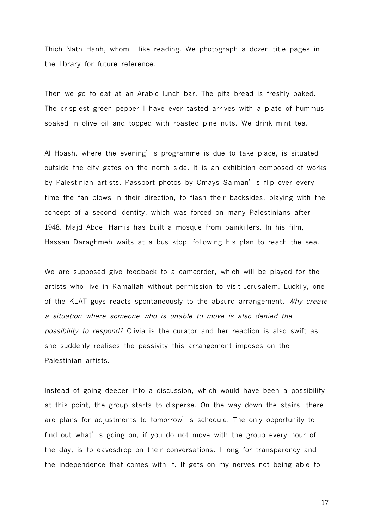Thich Nath Hanh, whom I like reading. We photograph a dozen title pages in the library for future reference.

Then we go to eat at an Arabic lunch bar. The pita bread is freshly baked. The crispiest green pepper I have ever tasted arrives with a plate of hummus soaked in olive oil and topped with roasted pine nuts. We drink mint tea.

Al Hoash, where the evening's programme is due to take place, is situated outside the city gates on the north side. It is an exhibition composed of works by Palestinian artists. Passport photos by Omays Salman's flip over every time the fan blows in their direction, to flash their backsides, playing with the concept of a second identity, which was forced on many Palestinians after 1948. Majd Abdel Hamis has built a mosque from painkillers. In his film, Hassan Daraghmeh waits at a bus stop, following his plan to reach the sea.

We are supposed give feedback to a camcorder, which will be played for the artists who live in Ramallah without permission to visit Jerusalem. Luckily, one of the KLAT guys reacts spontaneously to the absurd arrangement. Why create a situation where someone who is unable to move is also denied the possibility to respond? Olivia is the curator and her reaction is also swift as she suddenly realises the passivity this arrangement imposes on the Palestinian artists.

Instead of going deeper into a discussion, which would have been a possibility at this point, the group starts to disperse. On the way down the stairs, there are plans for adjustments to tomorrow's schedule. The only opportunity to find out what's going on, if you do not move with the group every hour of the day, is to eavesdrop on their conversations. I long for transparency and the independence that comes with it. It gets on my nerves not being able to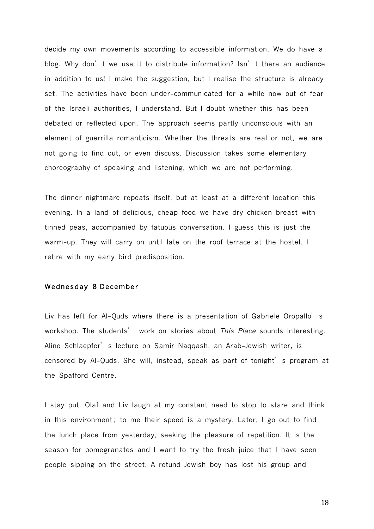decide my own movements according to accessible information. We do have a blog. Why don't we use it to distribute information? Isn't there an audience in addition to us! I make the suggestion, but I realise the structure is already set. The activities have been under-communicated for a while now out of fear of the Israeli authorities, I understand. But I doubt whether this has been debated or reflected upon. The approach seems partly unconscious with an element of guerrilla romanticism. Whether the threats are real or not, we are not going to find out, or even discuss. Discussion takes some elementary choreography of speaking and listening, which we are not performing.

The dinner nightmare repeats itself, but at least at a different location this evening. In a land of delicious, cheap food we have dry chicken breast with tinned peas, accompanied by fatuous conversation. I guess this is just the warm-up. They will carry on until late on the roof terrace at the hostel. I retire with my early bird predisposition.

## Wednesday8 December

Liv has left for Al-Quds where there is a presentation of Gabriele Oropallo's workshop. The students' work on stories about This Place sounds interesting. Aline SchIaepfer's lecture on Samir Naqqash, an Arab-Jewish writer, is censored by Al-Quds. She will, instead, speak as part of tonight's program at the Spafford Centre.

I stay put. Olaf and Liv laugh at my constant need to stop to stare and think in this environment; to me their speed is a mystery. Later, I go out to find the lunch place from yesterday, seeking the pleasure of repetition. It is the season for pomegranates and I want to try the fresh juice that I have seen people sipping on the street. A rotund Jewish boy has lost his group and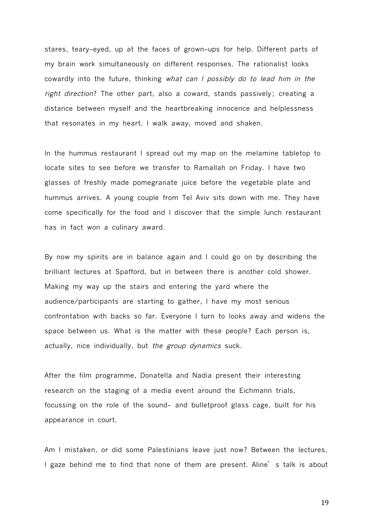stares, teary-eyed, up at the faces of grown-ups for help. Different parts of my brain work simultaneously on different responses. The rationalist looks cowardly into the future, thinking what can <sup>I</sup> possibly do to lead him in the right direction? The other part, also a coward, stands passively; creating a distance between myself and the heartbreaking innocence and helplessness that resonates in my heart. I walk away, moved and shaken.

In the hummus restaurant I spread out my map on the melamine tabletop to locate sites to see before we transfer to Ramallah on Friday. I have two glasses of freshly made pomegranate juice before the vegetable plate and hummus arrives. A young couple from Tel Aviv sits down with me. They have come specifically for the food and I discover that the simple lunch restaurant has in fact won a culinary award.

By now my spirits are in balance again and I could go on by describing the brilliant lectures at Spafford, but in between there is another cold shower. Making my way up the stairs and entering the yard where the audience/participants are starting to gather, I have my most serious confrontation with backs so far. Everyone I turn to looks away and widens the space between us. What is the matter with these people? Each person is, actually, nice individually, but the group dynamics suck.

After the film programme, Donatella and Nadia present their interesting research on the staging of a media event around the Eichmann trials, focussing on the role of the sound- and bulletproof glass cage, built for his appearance in court.

Am I mistaken, or did some Palestinians leave just now? Between the lectures, I gaze behind me to find that none of them are present. Aline's talk is about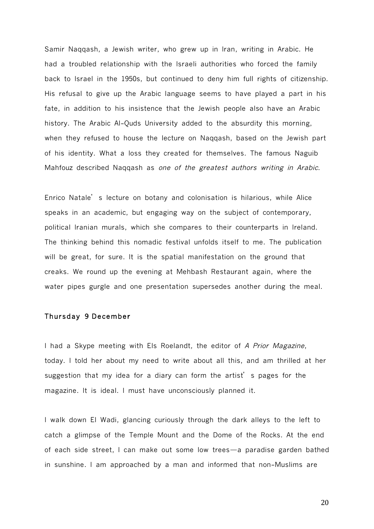Samir Naqqash, a Jewish writer, who grew up in Iran, writing in Arabic. He had a troubled relationship with the Israeli authorities who forced the family back to Israel in the 1950s, but continued to deny him full rights of citizenship. His refusal to give up the Arabic language seems to have played a part in his fate, in addition to his insistence that the Jewish people also have an Arabic history. The Arabic Al-Quds University added to the absurdity this morning, when they refused to house the lecture on Naqqash, based on the Jewish part of his identity. What a loss they created for themselves. The famous Naguib Mahfouz described Naqqash as one of the greatest authors writing in Arabic.

Enrico Natale's lecture on botany and colonisation is hilarious, while Alice speaks in an academic, but engaging way on the subject of contemporary, political Iranian murals, which she compares to their counterparts in Ireland. The thinking behind this nomadic festival unfolds itself to me. The publication will be great, for sure. It is the spatial manifestation on the ground that creaks. We round up the evening at Mehbash Restaurant again, where the water pipes gurgle and one presentation supersedes another during the meal.

## Thursday9 December

I had a Skype meeting with Els Roelandt, the editor of A Prior Magazine, today. I told her about my need to write about all this, and am thrilled at her suggestion that my idea for a diary can form the artist's pages for the magazine. It is ideal. I must have unconsciously planned it.

I walk down El Wadi, glancing curiously through the dark alleys to the left to catch a glimpse of the Temple Mount and the Dome of the Rocks. At the end of each side street, I can make out some low trees—a paradise garden bathed in sunshine. I am approached by a man and informed that non-Muslims are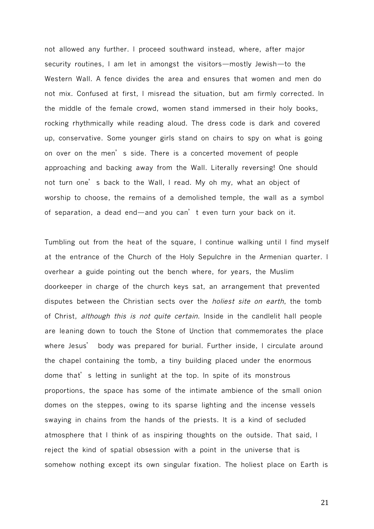not allowed any further. I proceed southward instead, where, after major security routines, I am let in amongst the visitors—mostly Jewish—to the Western Wall. A fence divides the area and ensures that women and men do not mix. Confused at first, I misread the situation, but am firmly corrected. In the middle of the female crowd, women stand immersed in their holy books, rocking rhythmically while reading aloud. The dress code is dark and covered up, conservative. Some younger girls stand on chairs to spy on what is going on over on the men's side. There is a concerted movement of people approaching and backing away from the Wall. Literally reversing! One should not turn one's back to the Wall, I read. My oh my, what an object of worship to choose, the remains of a demolished temple, the wall as a symbol of separation, a dead end—and you can't even turn your back on it.

Tumbling out from the heat of the square, I continue walking until I find myself at the entrance of the Church of the Holy Sepulchre in the Armenian quarter. I overhear a guide pointing out the bench where, for years, the Muslim doorkeeper in charge of the church keys sat, an arrangement that prevented disputes between the Christian sects over the *holiest site on earth*, the tomb of Christ, although this is not quite certain. Inside in the candlelit hall people are leaning down to touch the Stone of Unction that commemorates the place where Jesus' body was prepared for burial. Further inside, I circulate around the chapel containing the tomb, a tiny building placed under the enormous dome that's letting in sunlight at the top. In spite of its monstrous proportions, the space has some of the intimate ambience of the small onion domes on the steppes, owing to its sparse lighting and the incense vessels swaying in chains from the hands of the priests. It is a kind of secluded atmosphere that I think of as inspiring thoughts on the outside. That said, I reject the kind of spatial obsession with a point in the universe that is somehow nothing except its own singular fixation. The holiest place on Earth is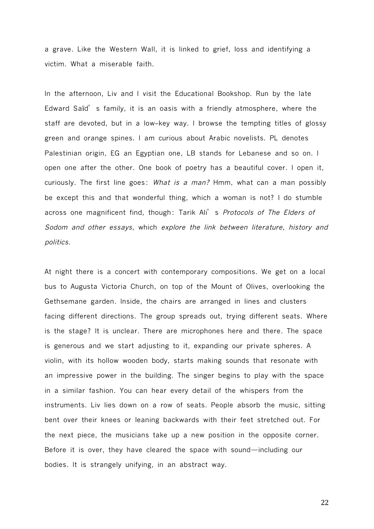a grave. Like the Western Wall, it is linked to grief, loss and identifying a victim. What a miserable faith.

In the afternoon, Liv and I visit the Educational Bookshop. Run by the late Edward Saïd's family, it is an oasis with a friendly atmosphere, where the staff are devoted, but in a low-key way. I browse the tempting titles of glossy green and orange spines. I am curious about Arabic novelists. PL denotes Palestinian origin, EG an Egyptian one, LB stands for Lebanese and so on. I open one after the other. One book of poetry has a beautiful cover. I open it, curiously. The first line goes: What is a man? Hmm, what can a man possibly be except this and that wonderful thing, which a woman is not? I do stumble across one magnificent find, though: Tarik Ali's Protocols of The Elders of Sodom and other essays, which explore the link between literature, history and politics.

At night there is a concert with contemporary compositions. We get on a local bus to Augusta Victoria Church, on top of the Mount of Olives, overlooking the Gethsemane garden. Inside, the chairs are arranged in lines and clusters facing different directions. The group spreads out, trying different seats. Where is the stage? It is unclear. There are microphones here and there. The space is generous and we start adjusting to it, expanding our private spheres. A violin, with its hollow wooden body, starts making sounds that resonate with an impressive power in the building. The singer begins to play with the space in a similar fashion. You can hear every detail of the whispers from the instruments. Liv lies down on a row of seats. People absorb the music, sitting bent over their knees or leaning backwards with their feet stretched out. For the next piece, the musicians take up a new position in the opposite corner. Before it is over, they have cleared the space with sound—including our bodies. It is strangely unifying, in an abstract way.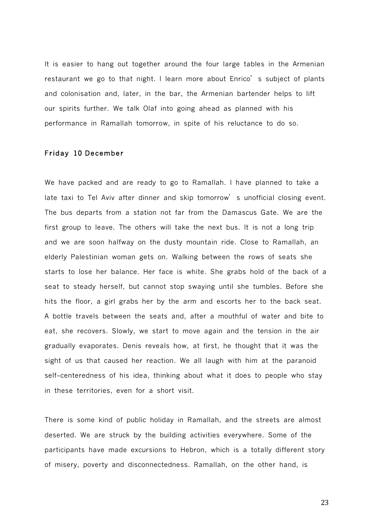It is easier to hang out together around the four large tables in the Armenian restaurant we go to that night. I learn more about Enrico's subject of plants and colonisation and, later, in the bar, the Armenian bartender helps to lift our spirits further. We talk Olaf into going ahead as planned with his performance in Ramallah tomorrow, in spite of his reluctance to do so.

# Friday10 December

We have packed and are ready to go to Ramallah. I have planned to take a late taxi to Tel Aviv after dinner and skip tomorrow's unofficial closing event. The bus departs from a station not far from the Damascus Gate. We are the first group to leave. The others will take the next bus. It is not a long trip and we are soon halfway on the dusty mountain ride. Close to Ramallah, an elderly Palestinian woman gets on. Walking between the rows of seats she starts to lose her balance. Her face is white. She grabs hold of the back of a seat to steady herself, but cannot stop swaying until she tumbles. Before she hits the floor, a girl grabs her by the arm and escorts her to the back seat. A bottle travels between the seats and, after a mouthful of water and bite to eat, she recovers. Slowly, we start to move again and the tension in the air gradually evaporates. Denis reveals how, at first, he thought that it was the sight of us that caused her reaction. We all laugh with him at the paranoid self-centeredness of his idea, thinking about what it does to people who stay in these territories, even for a short visit.

There is some kind of public holiday in Ramallah, and the streets are almost deserted. We are struck by the building activities everywhere. Some of the participants have made excursions to Hebron, which is a totally different story of misery, poverty and disconnectedness. Ramallah, on the other hand, is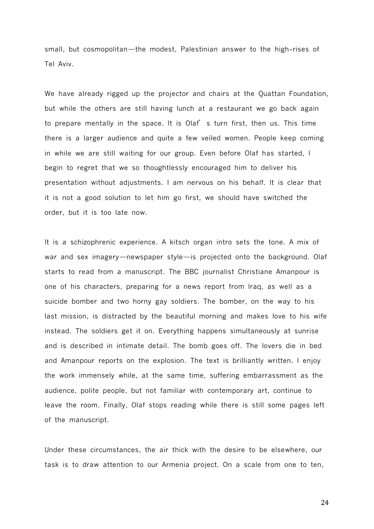small, but cosmopolitan—the modest, Palestinian answer to the high-rises of Tel Aviv.

We have already rigged up the projector and chairs at the Quattan Foundation, but while the others are still having lunch at a restaurant we go back again to prepare mentally in the space. It is Olaf's turn first, then us. This time there is a larger audience and quite a few veiled women. People keep coming in while we are still waiting for our group. Even before Olaf has started, I begin to regret that we so thoughtlessly encouraged him to deliver his presentation without adjustments. I am nervous on his behalf. It is clear that it is not a good solution to let him go first, we should have switched the order, but it is too late now.

It is a schizophrenic experience. A kitsch organ intro sets the tone. A mix of war and sex imagery—newspaper style—is projected onto the background. Olaf starts to read from a manuscript. The BBC journalist Christiane Amanpour is one of his characters, preparing for a news report from Iraq, as well as a suicide bomber and two horny gay soldiers. The bomber, on the way to his last mission, is distracted by the beautiful morning and makes love to his wife instead. The soldiers get it on. Everything happens simultaneously at sunrise and is described in intimate detail. The bomb goes off. The lovers die in bed and Amanpour reports on the explosion. The text is brilliantly written. I enjoy the work immensely while, at the same time, suffering embarrassment as the audience, polite people, but not familiar with contemporary art, continue to leave the room. Finally, Olaf stops reading while there is still some pages left of the manuscript.

Under these circumstances, the air thick with the desire to be elsewhere, our task is to draw attention to our Armenia project. On a scale from one to ten,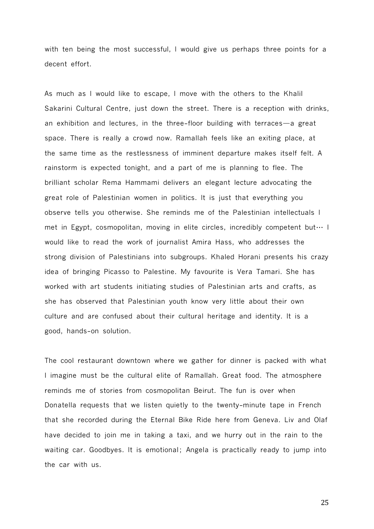with ten being the most successful, I would give us perhaps three points for a decent effort.

As much as I would like to escape, I move with the others to the Khalil Sakarini Cultural Centre, just down the street. There is a reception with drinks, an exhibition and lectures, in the three-floor building with terraces—a great space. There is really a crowd now. Ramallah feels like an exiting place, at the same time as the restlessness of imminent departure makes itself felt. A rainstorm is expected tonight, and a part of me is planning to flee. The brilliant scholar Rema Hammami delivers an elegant lecture advocating the great role of Palestinian women in politics. It is just that everything you observe tells you otherwise. She reminds me of the Palestinian intellectuals I met in Egypt, cosmopolitan, moving in elite circles, incredibly competent but⋯ I would like to read the work of journalist Amira Hass, who addresses the strong division of Palestinians into subgroups. Khaled Horani presents his crazy idea of bringing Picasso to Palestine. My favourite is Vera Tamari. She has worked with art students initiating studies of Palestinian arts and crafts, as she has observed that Palestinian youth know very little about their own culture and are confused about their cultural heritage and identity. It is a good, hands-on solution.

The cool restaurant downtown where we gather for dinner is packed with what I imagine must be the cultural elite of Ramallah. Great food. The atmosphere reminds me of stories from cosmopolitan Beirut. The fun is over when Donatella requests that we listen quietly to the twenty-minute tape in French that she recorded during the Eternal Bike Ride here from Geneva. Liv and Olaf have decided to join me in taking a taxi, and we hurry out in the rain to the waiting car. Goodbyes. It is emotional; Angela is practically ready to jump into the car with us.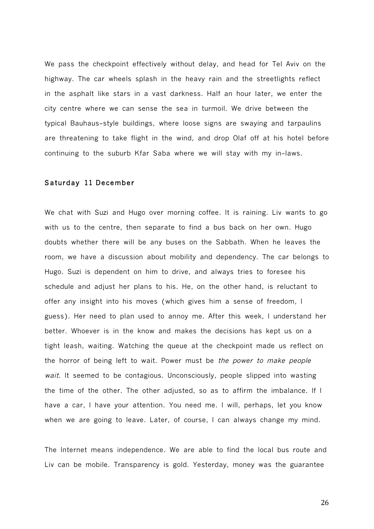We pass the checkpoint effectively without delay, and head for Tel Aviv on the highway. The car wheels splash in the heavy rain and the streetlights reflect in the asphalt like stars in a vast darkness. Half an hour later, we enter the city centre where we can sense the sea in turmoil. We drive between the typical Bauhaus-style buildings, where loose signs are swaying and tarpaulins are threatening to take flight in the wind, and drop Olaf off at his hotel before continuing to the suburb Kfar Saba where we will stay with my in-laws.

# Saturday11 December

We chat with Suzi and Hugo over morning coffee. It is raining. Liv wants to go with us to the centre, then separate to find a bus back on her own. Hugo doubts whether there will be any buses on the Sabbath. When he leaves the room, we have a discussion about mobility and dependency. The car belongs to Hugo. Suzi is dependent on him to drive, and always tries to foresee his schedule and adjust her plans to his. He, on the other hand, is reluctant to offer any insight into his moves (which gives him a sense of freedom, I guess). Her need to plan used to annoy me. After this week, I understand her better. Whoever is in the know and makes the decisions has kept us on a tight leash, waiting. Watching the queue at the checkpoint made us reflect on the horror of being left to wait. Power must be the power to make people wait. It seemed to be contagious. Unconsciously, people slipped into wasting the time of the other. The other adjusted, so as to affirm the imbalance. If I have a car, I have your attention. You need me. I will, perhaps, let you know when we are going to leave. Later, of course, I can always change my mind.

The Internet means independence. We are able to find the local bus route and Liv can be mobile. Transparency is gold. Yesterday, money was the guarantee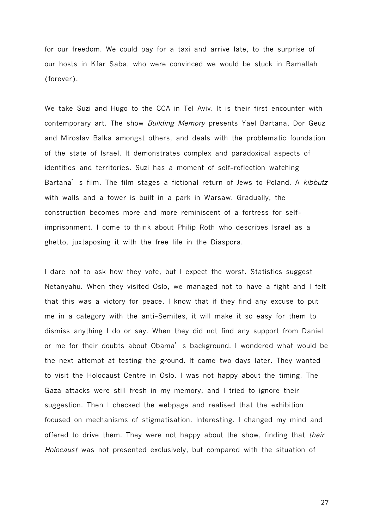for our freedom. We could pay for a taxi and arrive late, to the surprise of our hosts in Kfar Saba, who were convinced we would be stuck in Ramallah (forever).

We take Suzi and Hugo to the CCA in Tel Aviv. It is their first encounter with contemporary art. The show Building Memory presents Yael Bartana, Dor Geuz and Miroslav Balka amongst others, and deals with the problematic foundation of the state of Israel. It demonstrates complex and paradoxical aspects of identities and territories. Suzi has a moment of self-reflection watching Bartana's film. The film stages a fictional return of Jews to Poland. A kibbutz with walls and a tower is built in a park in Warsaw. Gradually, the construction becomes more and more reminiscent of a fortress for selfimprisonment. I come to think about Philip Roth who describes Israel as a ghetto, juxtaposing it with the free life in the Diaspora.

I dare not to ask how they vote, but I expect the worst. Statistics suggest Netanyahu. When they visited Oslo, we managed not to have a fight and I felt that this was a victory for peace. I know that if they find any excuse to put me in a category with the anti-Semites, it will make it so easy for them to dismiss anything I do or say. When they did not find any support from Daniel or me for their doubts about Obama's background, I wondered what would be the next attempt at testing the ground. It came two days later. They wanted to visit the Holocaust Centre in Oslo. I was not happy about the timing. The Gaza attacks were still fresh in my memory, and I tried to ignore their suggestion. Then I checked the webpage and realised that the exhibition focused on mechanisms of stigmatisation. Interesting. I changed my mind and offered to drive them. They were not happy about the show, finding that their Holocaust was not presented exclusively, but compared with the situation of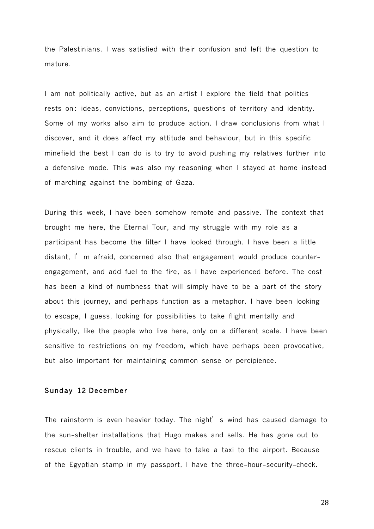the Palestinians. I was satisfied with their confusion and left the question to mature.

I am not politically active, but as an artist I explore the field that politics rests on: ideas, convictions, perceptions, questions of territory and identity. Some of my works also aim to produce action. I draw conclusions from what I discover, and it does affect my attitude and behaviour, but in this specific minefield the best I can do is to try to avoid pushing my relatives further into a defensive mode. This was also my reasoning when I stayed at home instead of marching against the bombing of Gaza.

During this week, I have been somehow remote and passive. The context that brought me here, the Eternal Tour, and my struggle with my role as a participant has become the filter I have looked through. I have been a little distant, I'm afraid, concerned also that engagement would produce counterengagement, and add fuel to the fire, as I have experienced before. The cost has been a kind of numbness that will simply have to be a part of the story about this journey, and perhaps function as a metaphor. I have been looking to escape, I guess, looking for possibilities to take flight mentally and physically, like the people who live here, only on a different scale. I have been sensitive to restrictions on my freedom, which have perhaps been provocative, but also important for maintaining common sense or percipience.

## Sunday12 December

The rainstorm is even heavier today. The night's wind has caused damage to the sun-shelter installations that Hugo makes and sells. He has gone out to rescue clients in trouble, and we have to take a taxi to the airport. Because of the Egyptian stamp in my passport, I have the three-hour-security-check.